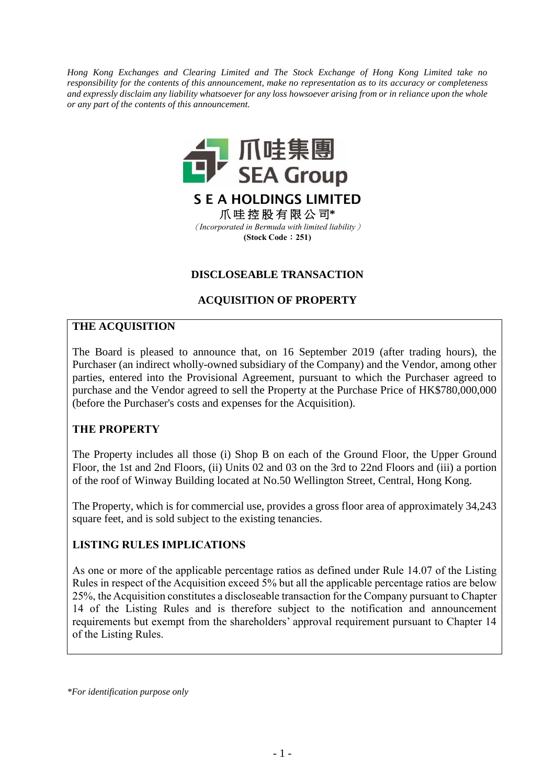*Hong Kong Exchanges and Clearing Limited and The Stock Exchange of Hong Kong Limited take no responsibility for the contents of this announcement, make no representation as to its accuracy or completeness and expressly disclaim any liability whatsoever for any loss howsoever arising from or in reliance upon the whole or any part of the contents of this announcement.*



(*Incorporated in Bermuda with limited liability*) **(Stock Code**:**251)**

#### **DISCLOSEABLE TRANSACTION**

## **ACQUISITION OF PROPERTY**

#### **THE ACQUISITION**

The Board is pleased to announce that, on 16 September 2019 (after trading hours), the Purchaser (an indirect wholly-owned subsidiary of the Company) and the Vendor, among other parties, entered into the Provisional Agreement, pursuant to which the Purchaser agreed to purchase and the Vendor agreed to sell the Property at the Purchase Price of HK\$780,000,000 (before the Purchaser's costs and expenses for the Acquisition).

## **THE PROPERTY**

The Property includes all those (i) Shop B on each of the Ground Floor, the Upper Ground Floor, the 1st and 2nd Floors, (ii) Units 02 and 03 on the 3rd to 22nd Floors and (iii) a portion of the roof of Winway Building located at No.50 Wellington Street, Central, Hong Kong.

The Property, which is for commercial use, provides a gross floor area of approximately 34,243 square feet, and is sold subject to the existing tenancies.

## **LISTING RULES IMPLICATIONS**

As one or more of the applicable percentage ratios as defined under Rule 14.07 of the Listing Rules in respect of the Acquisition exceed 5% but all the applicable percentage ratios are below 25%, the Acquisition constitutes a discloseable transaction for the Company pursuant to Chapter 14 of the Listing Rules and is therefore subject to the notification and announcement requirements but exempt from the shareholders' approval requirement pursuant to Chapter 14 of the Listing Rules.

*\*For identification purpose only*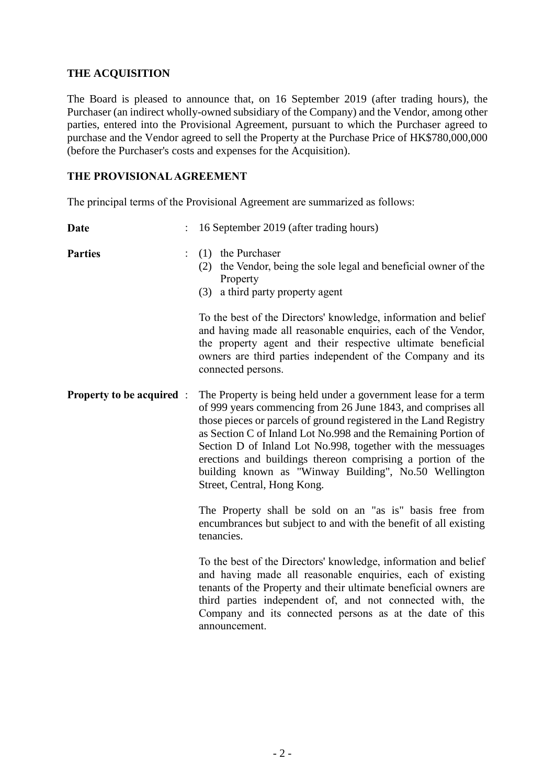#### **THE ACQUISITION**

The Board is pleased to announce that, on 16 September 2019 (after trading hours), the Purchaser (an indirect wholly-owned subsidiary of the Company) and the Vendor, among other parties, entered into the Provisional Agreement, pursuant to which the Purchaser agreed to purchase and the Vendor agreed to sell the Property at the Purchase Price of HK\$780,000,000 (before the Purchaser's costs and expenses for the Acquisition).

#### **THE PROVISIONAL AGREEMENT**

The principal terms of the Provisional Agreement are summarized as follows:

| <b>Date</b>                      | 16 September 2019 (after trading hours)                                                                                                                                                                                                                                                                                                                                                                                                                                                     |  |
|----------------------------------|---------------------------------------------------------------------------------------------------------------------------------------------------------------------------------------------------------------------------------------------------------------------------------------------------------------------------------------------------------------------------------------------------------------------------------------------------------------------------------------------|--|
| <b>Parties</b>                   | (1) the Purchaser<br>(2) the Vendor, being the sole legal and beneficial owner of the<br>Property<br>(3) a third party property agent                                                                                                                                                                                                                                                                                                                                                       |  |
|                                  | To the best of the Directors' knowledge, information and belief<br>and having made all reasonable enquiries, each of the Vendor,<br>the property agent and their respective ultimate beneficial<br>owners are third parties independent of the Company and its<br>connected persons.                                                                                                                                                                                                        |  |
| <b>Property to be acquired</b> : | The Property is being held under a government lease for a term<br>of 999 years commencing from 26 June 1843, and comprises all<br>those pieces or parcels of ground registered in the Land Registry<br>as Section C of Inland Lot No.998 and the Remaining Portion of<br>Section D of Inland Lot No.998, together with the messuages<br>erections and buildings thereon comprising a portion of the<br>building known as "Winway Building", No.50 Wellington<br>Street, Central, Hong Kong. |  |
|                                  | The Property shall be sold on an "as is" basis free from<br>encumbrances but subject to and with the benefit of all existing<br>tenancies.                                                                                                                                                                                                                                                                                                                                                  |  |
|                                  | To the best of the Directors' knowledge, information and belief<br>and having made all reasonable enquiries, each of existing<br>tenants of the Property and their ultimate beneficial owners are<br>third parties independent of, and not connected with, the<br>Company and its connected persons as at the date of this<br>announcement.                                                                                                                                                 |  |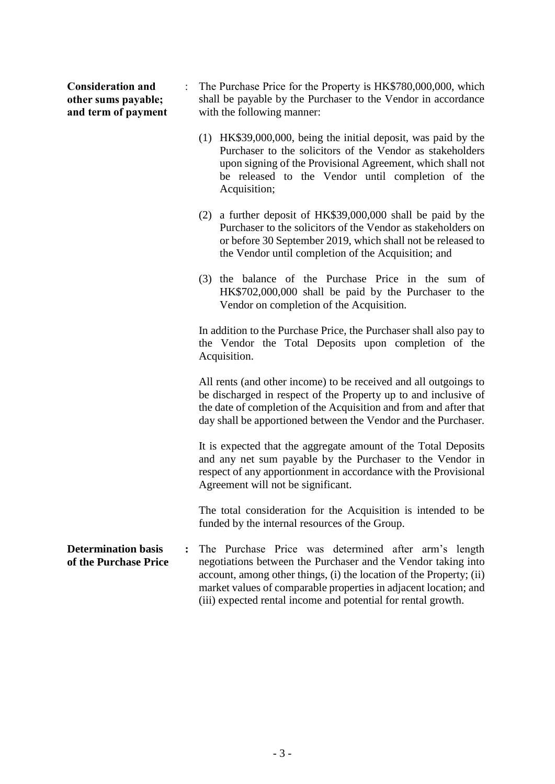| <b>Consideration and</b> |
|--------------------------|
| other sums payable;      |
| and term of payment      |

- : The Purchase Price for the Property is HK\$780,000,000, which shall be payable by the Purchaser to the Vendor in accordance with the following manner:
	- (1) HK\$39,000,000, being the initial deposit, was paid by the Purchaser to the solicitors of the Vendor as stakeholders upon signing of the Provisional Agreement, which shall not be released to the Vendor until completion of the Acquisition;
	- (2) a further deposit of HK\$39,000,000 shall be paid by the Purchaser to the solicitors of the Vendor as stakeholders on or before 30 September 2019, which shall not be released to the Vendor until completion of the Acquisition; and
	- (3) the balance of the Purchase Price in the sum of HK\$702,000,000 shall be paid by the Purchaser to the Vendor on completion of the Acquisition.

In addition to the Purchase Price, the Purchaser shall also pay to the Vendor the Total Deposits upon completion of the Acquisition.

All rents (and other income) to be received and all outgoings to be discharged in respect of the Property up to and inclusive of the date of completion of the Acquisition and from and after that day shall be apportioned between the Vendor and the Purchaser.

It is expected that the aggregate amount of the Total Deposits and any net sum payable by the Purchaser to the Vendor in respect of any apportionment in accordance with the Provisional Agreement will not be significant.

The total consideration for the Acquisition is intended to be funded by the internal resources of the Group.

**Determination basis of the Purchase Price :** The Purchase Price was determined after arm's length negotiations between the Purchaser and the Vendor taking into account, among other things, (i) the location of the Property; (ii) market values of comparable properties in adjacent location; and (iii) expected rental income and potential for rental growth.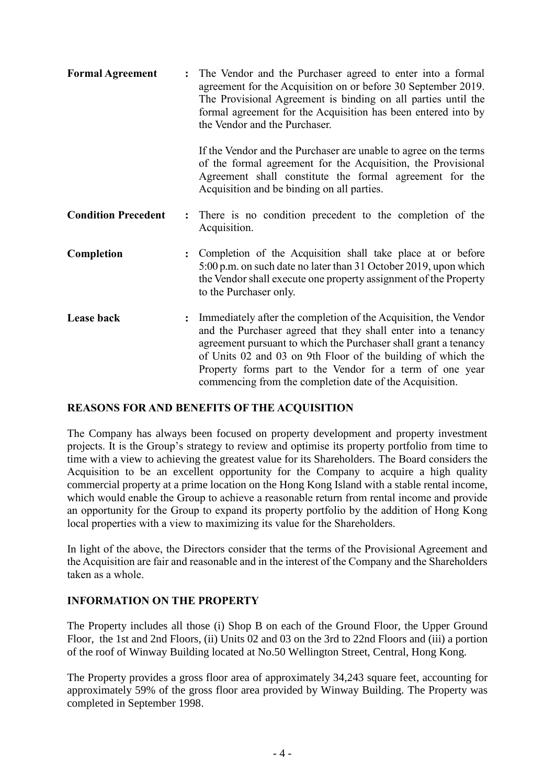| <b>Formal Agreement</b>    | $\ddot{\cdot}$ | The Vendor and the Purchaser agreed to enter into a formal<br>agreement for the Acquisition on or before 30 September 2019.<br>The Provisional Agreement is binding on all parties until the<br>formal agreement for the Acquisition has been entered into by<br>the Vendor and the Purchaser.                                                                                             |
|----------------------------|----------------|--------------------------------------------------------------------------------------------------------------------------------------------------------------------------------------------------------------------------------------------------------------------------------------------------------------------------------------------------------------------------------------------|
|                            |                | If the Vendor and the Purchaser are unable to agree on the terms<br>of the formal agreement for the Acquisition, the Provisional<br>Agreement shall constitute the formal agreement for the<br>Acquisition and be binding on all parties.                                                                                                                                                  |
| <b>Condition Precedent</b> |                | : There is no condition precedent to the completion of the<br>Acquisition.                                                                                                                                                                                                                                                                                                                 |
| Completion                 |                | : Completion of the Acquisition shall take place at or before<br>5:00 p.m. on such date no later than 31 October 2019, upon which<br>the Vendor shall execute one property assignment of the Property<br>to the Purchaser only.                                                                                                                                                            |
| Lease back                 |                | Immediately after the completion of the Acquisition, the Vendor<br>and the Purchaser agreed that they shall enter into a tenancy<br>agreement pursuant to which the Purchaser shall grant a tenancy<br>of Units 02 and 03 on 9th Floor of the building of which the<br>Property forms part to the Vendor for a term of one year<br>commencing from the completion date of the Acquisition. |

## **REASONS FOR AND BENEFITS OF THE ACQUISITION**

The Company has always been focused on property development and property investment projects. It is the Group's strategy to review and optimise its property portfolio from time to time with a view to achieving the greatest value for its Shareholders. The Board considers the Acquisition to be an excellent opportunity for the Company to acquire a high quality commercial property at a prime location on the Hong Kong Island with a stable rental income, which would enable the Group to achieve a reasonable return from rental income and provide an opportunity for the Group to expand its property portfolio by the addition of Hong Kong local properties with a view to maximizing its value for the Shareholders.

In light of the above, the Directors consider that the terms of the Provisional Agreement and the Acquisition are fair and reasonable and in the interest of the Company and the Shareholders taken as a whole.

## **INFORMATION ON THE PROPERTY**

The Property includes all those (i) Shop B on each of the Ground Floor, the Upper Ground Floor, the 1st and 2nd Floors, (ii) Units 02 and 03 on the 3rd to 22nd Floors and (iii) a portion of the roof of Winway Building located at No.50 Wellington Street, Central, Hong Kong.

The Property provides a gross floor area of approximately 34,243 square feet, accounting for approximately 59% of the gross floor area provided by Winway Building. The Property was completed in September 1998.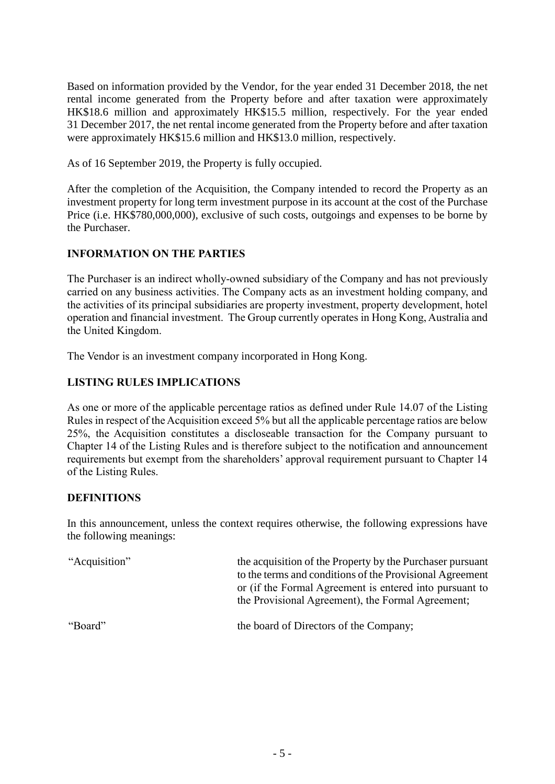Based on information provided by the Vendor, for the year ended 31 December 2018, the net rental income generated from the Property before and after taxation were approximately HK\$18.6 million and approximately HK\$15.5 million, respectively. For the year ended 31 December 2017, the net rental income generated from the Property before and after taxation were approximately HK\$15.6 million and HK\$13.0 million, respectively.

As of 16 September 2019, the Property is fully occupied.

After the completion of the Acquisition, the Company intended to record the Property as an investment property for long term investment purpose in its account at the cost of the Purchase Price (i.e. HK\$780,000,000), exclusive of such costs, outgoings and expenses to be borne by the Purchaser.

# **INFORMATION ON THE PARTIES**

The Purchaser is an indirect wholly-owned subsidiary of the Company and has not previously carried on any business activities. The Company acts as an investment holding company, and the activities of its principal subsidiaries are property investment, property development, hotel operation and financial investment. The Group currently operates in Hong Kong, Australia and the United Kingdom.

The Vendor is an investment company incorporated in Hong Kong.

## **LISTING RULES IMPLICATIONS**

As one or more of the applicable percentage ratios as defined under Rule 14.07 of the Listing Rules in respect of the Acquisition exceed 5% but all the applicable percentage ratios are below 25%, the Acquisition constitutes a discloseable transaction for the Company pursuant to Chapter 14 of the Listing Rules and is therefore subject to the notification and announcement requirements but exempt from the shareholders' approval requirement pursuant to Chapter 14 of the Listing Rules.

## **DEFINITIONS**

In this announcement, unless the context requires otherwise, the following expressions have the following meanings:

| "Acquisition" | the acquisition of the Property by the Purchaser pursuant<br>to the terms and conditions of the Provisional Agreement<br>or (if the Formal Agreement is entered into pursuant to<br>the Provisional Agreement), the Formal Agreement; |
|---------------|---------------------------------------------------------------------------------------------------------------------------------------------------------------------------------------------------------------------------------------|
| "Board"       | the board of Directors of the Company;                                                                                                                                                                                                |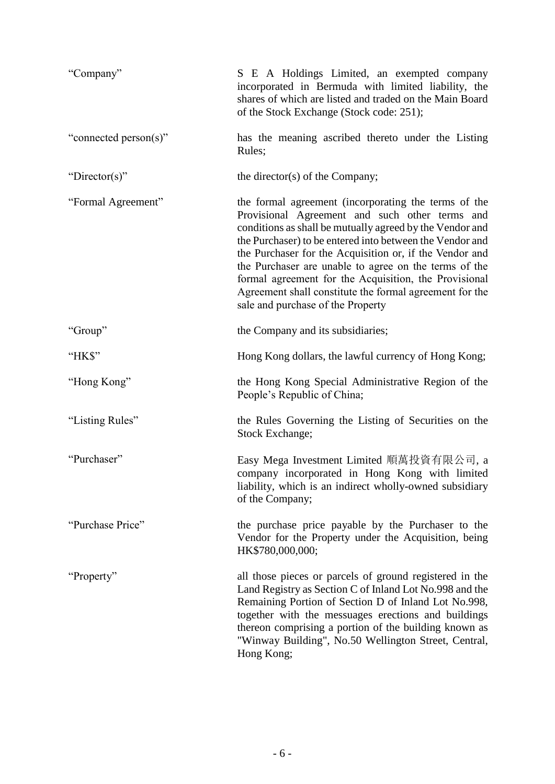| "Company"             | S E A Holdings Limited, an exempted company<br>incorporated in Bermuda with limited liability, the<br>shares of which are listed and traded on the Main Board<br>of the Stock Exchange (Stock code: 251);                                                                                                                                                                                                                                                                                                   |
|-----------------------|-------------------------------------------------------------------------------------------------------------------------------------------------------------------------------------------------------------------------------------------------------------------------------------------------------------------------------------------------------------------------------------------------------------------------------------------------------------------------------------------------------------|
| "connected person(s)" | has the meaning ascribed thereto under the Listing<br>Rules;                                                                                                                                                                                                                                                                                                                                                                                                                                                |
| "Director(s)"         | the director(s) of the Company;                                                                                                                                                                                                                                                                                                                                                                                                                                                                             |
| "Formal Agreement"    | the formal agreement (incorporating the terms of the<br>Provisional Agreement and such other terms and<br>conditions as shall be mutually agreed by the Vendor and<br>the Purchaser) to be entered into between the Vendor and<br>the Purchaser for the Acquisition or, if the Vendor and<br>the Purchaser are unable to agree on the terms of the<br>formal agreement for the Acquisition, the Provisional<br>Agreement shall constitute the formal agreement for the<br>sale and purchase of the Property |
| "Group"               | the Company and its subsidiaries;                                                                                                                                                                                                                                                                                                                                                                                                                                                                           |
| "HK\$"                | Hong Kong dollars, the lawful currency of Hong Kong;                                                                                                                                                                                                                                                                                                                                                                                                                                                        |
| "Hong Kong"           | the Hong Kong Special Administrative Region of the<br>People's Republic of China;                                                                                                                                                                                                                                                                                                                                                                                                                           |
| "Listing Rules"       | the Rules Governing the Listing of Securities on the<br>Stock Exchange;                                                                                                                                                                                                                                                                                                                                                                                                                                     |
| "Purchaser"           | Easy Mega Investment Limited 順萬投資有限公司, a<br>company incorporated in Hong Kong with limited<br>liability, which is an indirect wholly-owned subsidiary<br>of the Company;                                                                                                                                                                                                                                                                                                                                    |
| "Purchase Price"      | the purchase price payable by the Purchaser to the<br>Vendor for the Property under the Acquisition, being<br>HK\$780,000,000;                                                                                                                                                                                                                                                                                                                                                                              |
| "Property"            | all those pieces or parcels of ground registered in the<br>Land Registry as Section C of Inland Lot No.998 and the<br>Remaining Portion of Section D of Inland Lot No.998,<br>together with the messuages erections and buildings<br>thereon comprising a portion of the building known as<br>"Winway Building", No.50 Wellington Street, Central,<br>Hong Kong;                                                                                                                                            |